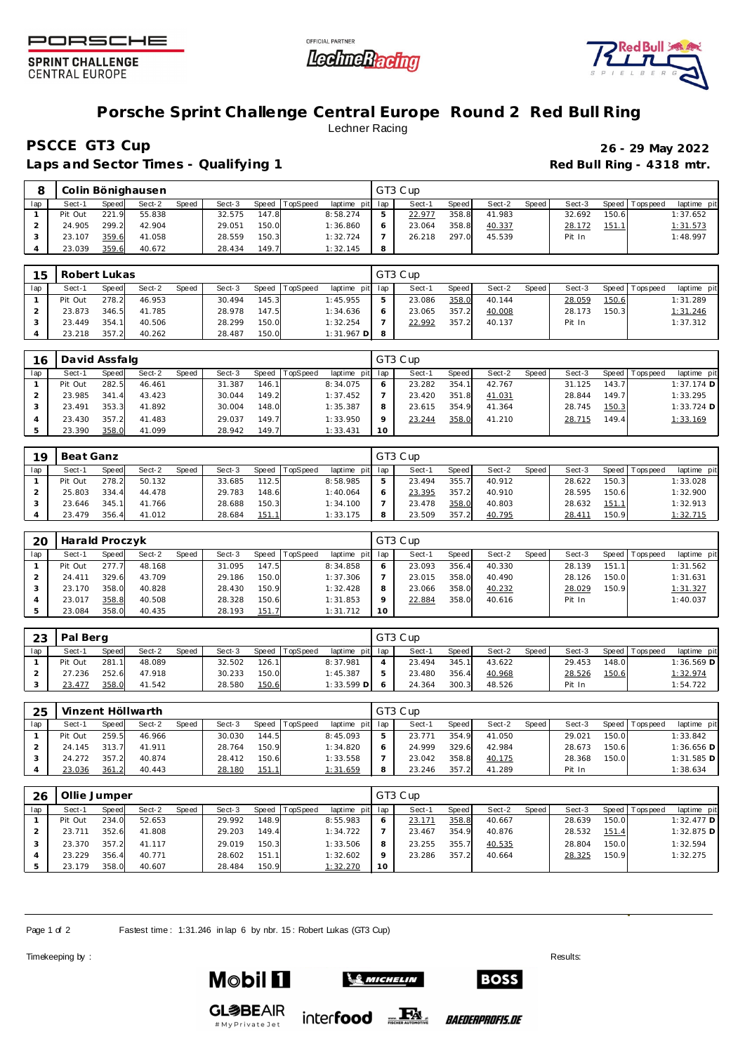

**SPRINT CHALLENGE CENTRAL EUROPE** 





## **Porsche Sprint Challenge Central Europe Round 2 Red Bull Ring** Lechner Racing

## **PSCCE GT3 Cup 26 - 29 May 2022**

Laps and Sector Times - Qualifying 1 **Red Bull Ring - 4318 mtr. Red Bull Ring - 4318 mtr.** 

|     |         |       | Colin Bönighausen |       |        |       |          |                |     | GT3 Cup |       |        |       |        |               |                |             |
|-----|---------|-------|-------------------|-------|--------|-------|----------|----------------|-----|---------|-------|--------|-------|--------|---------------|----------------|-------------|
| lap | Sect-1  | Speed | Sect-2            | Speed | Sect-3 | Speed | TopSpeed | laptime<br>pit | lap | Sect-1  | Speed | Sect-2 | Speed | Sect-3 |               | Speed Topspeed | laptime pit |
|     | Pit Out | 221.9 | 55.838            |       | 32.575 | 147.8 |          | 8:58.274       |     | 22.977  | 358.8 | 41.983 |       | 32.692 | 150.6         |                | 1:37.652    |
|     | 24.905  | 299.2 | 42.904            |       | 29.051 | 150.0 |          | 1:36.860       |     | 23.064  | 358.8 | 40.337 |       | 28.172 | <u> 151.1</u> |                | 1:31.573    |
|     | 23.107  | 359.6 | 41.058            |       | 28.559 | 150.3 |          | 1:32.724       |     | 26.218  | 297.0 | 45.539 |       | Pit In |               |                | 1:48.997    |
|     | 23.039  | 359.6 | 40.672            |       | 28.434 | 149.7 |          | 1:32.145       |     |         |       |        |       |        |               |                |             |

| 15  | Robert Lukas |       |        |       |        |       |          |                 |              | GT3 Cup |       |        |       |        |       |                 |             |
|-----|--------------|-------|--------|-------|--------|-------|----------|-----------------|--------------|---------|-------|--------|-------|--------|-------|-----------------|-------------|
| lap | Sect-1       | Speed | Sect-2 | Speed | Sect-3 | Speed | TopSpeed | laptime pit lap |              | Sect-1  | Speed | Sect-2 | Speed | Sect-3 |       | Speed Tops peed | laptime pit |
|     | Pit Out      | 278.2 | 46.953 |       | 30.494 | 145.3 |          | 1:45.955        | $\mathbf{p}$ | 23.086  | 358.0 | 40.144 |       | 28.059 | 150.6 |                 | 1:31.289    |
|     | 23.873       | 346.5 | 41.785 |       | 28.978 | 147.5 |          | 1:34.636        | 6            | 23.065  | 357.2 | 40.008 |       | 28.173 | 150.3 |                 | 1:31.246    |
|     | 23.449       | 354.1 | 40.506 |       | 28.299 | 150.0 |          | 1:32.254        |              | 22.992  | 357.2 | 40.137 |       | Pit In |       |                 | 1:37.312    |
|     | 23.218       | 357.2 | 40.262 |       | 28.487 | 150.0 |          | $1:31.967$ D 8  |              |         |       |        |       |        |       |                 |             |

| 16  | David Assfalg |       |        |       |        |       |          |             |     | GT3 Cup |              |        |       |        |       |                 |              |
|-----|---------------|-------|--------|-------|--------|-------|----------|-------------|-----|---------|--------------|--------|-------|--------|-------|-----------------|--------------|
| lap | Sect-1        | Speed | Sect-2 | Speed | Sect-3 | Speed | TopSpeed | laptime pit | lap | Sect-1  | <b>Speed</b> | Sect-2 | Speed | Sect-3 |       | Speed Tops peed | laptime pit  |
|     | Pit Out       | 282.5 | 46.461 |       | 31.387 | 146.1 |          | 8:34.075    | 6   | 23.282  | 354.1        | 42.767 |       | 31.125 | 143.7 |                 | $1:37.174$ D |
|     | 23.985        | 341.4 | 43.423 |       | 30.044 | 149.2 |          | 1:37.452    |     | 23.420  | 351.8        | 41.031 |       | 28.844 | 149.7 |                 | 1:33.295     |
|     | 23.491        | 353.3 | 41.892 |       | 30.004 | 148.0 |          | 1:35.387    | 8   | 23.615  | 354.9        | 41.364 |       | 28.745 | 150.3 |                 | $1:33.724$ D |
|     | 23.430        | 357.2 | 41.483 |       | 29.037 | 149.7 |          | 1:33.950    | Q   | 23.244  | 358.0        | 41.210 |       | 28.715 | 149.4 |                 | 1:33.169     |
|     | 23.390        | 358.0 | 41.099 |       | 28.942 | 149.7 |          | 1:33.431    | 10  |         |              |        |       |        |       |                 |              |

| 19  | Beat Ganz |       |        |       |        |        |                 |             |     | GT3 Cup |       |        |       |        |       |                 |             |
|-----|-----------|-------|--------|-------|--------|--------|-----------------|-------------|-----|---------|-------|--------|-------|--------|-------|-----------------|-------------|
| lap | Sect-1    | Speed | Sect-2 | Speed | Sect-3 | Speed  | <b>TopSpeed</b> | laptime pit | lap | Sect-1  | Speed | Sect-2 | Speed | Sect-3 |       | Speed Tops peed | laptime pit |
|     | Pit Out   | 278.2 | 50.132 |       | 33.685 | 112.51 |                 | 8:58.985    |     | 23.494  | 355.7 | 40.912 |       | 28.622 | 150.3 |                 | 1:33.028    |
|     | 25.803    | 334.4 | 44.478 |       | 29.783 | 148.6  |                 | 1:40.064    |     | 23.395  | 357.2 | 40.910 |       | 28.595 | 150.6 |                 | 1:32.900    |
|     | 23.646    | 345.1 | 41.766 |       | 28.688 | 150.3  |                 | 1:34.100    |     | 23.478  | 358.0 | 40.803 |       | 28.632 | 151.1 |                 | 1:32.913    |
|     | 23.479    | 356.4 | 41.012 |       | 28.684 | 151.1  |                 | 1:33.175    |     | 23.509  | 357.2 | 40.795 |       | 28.411 | 150.9 |                 | 1:32.715    |

| 20  | Harald Proczyk |       |        |              |        |       |          |             |     | GT3 Cup |              |        |       |        |       |                 |             |
|-----|----------------|-------|--------|--------------|--------|-------|----------|-------------|-----|---------|--------------|--------|-------|--------|-------|-----------------|-------------|
| lap | Sect-1         | Speed | Sect-2 | <b>Speed</b> | Sect-3 | Speed | TopSpeed | laptime pit | lap | Sect-   | <b>Speed</b> | Sect-2 | Speed | Sect-3 |       | Speed Tops peed | laptime pit |
|     | Pit Out        | 277.7 | 48.168 |              | 31.095 | 147.5 |          | 8:34.858    | 6   | 23.093  | 356.4        | 40.330 |       | 28.139 | 151.1 |                 | 1:31.562    |
|     | 24.411         | 329.6 | 43.709 |              | 29.186 | 150.0 |          | 1:37.306    |     | 23.015  | 358.0        | 40.490 |       | 28.126 | 150.0 |                 | 1:31.631    |
|     | 23.170         | 358.0 | 40.828 |              | 28.430 | 150.9 |          | 1:32.428    | 8   | 23.066  | 358.0        | 40.232 |       | 28.029 | 150.9 |                 | 1:31.327    |
|     | 23.017         | 358.8 | 40.508 |              | 28.328 | 150.6 |          | 1:31.853    | Q   | 22.884  | 358.0        | 40.616 |       | Pit In |       |                 | 1:40.037    |
|     | 23.084         | 358.0 | 40.435 |              | 28.193 | 151.7 |          | 1:31.712    | 10  |         |              |        |       |        |       |                 |             |

| 23  | Pal Berg |       |        |       |        |       |                |                 | GT3 Cup |       |        |       |        |       |                   |              |
|-----|----------|-------|--------|-------|--------|-------|----------------|-----------------|---------|-------|--------|-------|--------|-------|-------------------|--------------|
| lap | Sect-1   | Speed | Sect-2 | Speed | Sect-3 |       | Speed TopSpeed | laptime pit lap | Sect-1  | Speed | Sect-2 | Speed | Sect-3 |       | Speed   Tops peed | laptime pit  |
|     | Pit Out  | 281.1 | 48.089 |       | 32.502 | 126.1 |                | 8:37.981        | 23.494  | 345.1 | 43.622 |       | 29.453 | 148.0 |                   | $1:36.569$ D |
|     | 27.236   | 252.6 | 47.918 |       | 30.233 | 150.0 |                | 1:45.387        | 23.480  | 356.4 | 40.968 |       | 28.526 | 150.6 |                   | 1:32.974     |
|     | 23.477   | 358.0 | 41.542 |       | 28.580 | 150.6 |                | $1:33.599$ D    | 24.364  | 300.3 | 48.526 |       | Pit In |       |                   | 1:54.722     |

| 25  |         |       | Vinzent Höllwarth |       |        |       |          |                 |   | GT3 Cup |              |        |       |        |       |                 |              |
|-----|---------|-------|-------------------|-------|--------|-------|----------|-----------------|---|---------|--------------|--------|-------|--------|-------|-----------------|--------------|
| lap | Sect-1  | Speed | Sect-2            | Speed | Sect-3 | Speed | TopSpeed | laptime pit lap |   | Sect-1  | <b>Speed</b> | Sect-2 | Speed | Sect-3 |       | Speed Tops peed | laptime pit  |
|     | Pit Out | 259.5 | 46.966            |       | 30.030 | 144.5 |          | 8:45.093        |   | 23.771  | 354.9        | 41.050 |       | 29.021 | 150.0 |                 | 1:33.842     |
|     | 24.145  | 313.7 | 41.911            |       | 28.764 | 150.9 |          | 1:34.820        | 6 | 24.999  | 329.6        | 42.984 |       | 28.673 | 150.6 |                 | $1:36.656$ D |
|     | 24.272  | 357.2 | 40.874            |       | 28.412 | 150.6 |          | 1:33.558        |   | 23.042  | 358.8        | 40.175 |       | 28.368 | 150.0 |                 | $1:31.585$ D |
|     | 23.036  | 361.2 | 40.443            |       | 28.180 | 151.1 |          | 1:31.659        | 8 | 23.246  | 357.2        | 41.289 |       | Pit In |       |                 | 1:38.634     |

| 26  | Ollie Jumper |       |        |       |        |       |                  |                 |     | GT3 Cup |       |        |       |        |       |                 |              |
|-----|--------------|-------|--------|-------|--------|-------|------------------|-----------------|-----|---------|-------|--------|-------|--------|-------|-----------------|--------------|
| lap | Sect-1       | Speed | Sect-2 | Speed | Sect-3 |       | Speed   TopSpeed | laptime pit     | lap | Sect-1  | Speed | Sect-2 | Speed | Sect-3 |       | Speed Tops peed | laptime pit  |
|     | Pit Out      | 234.0 | 52.653 |       | 29.992 | 148.9 |                  | 8:55.983        | 6   | 23.171  | 358.8 | 40.667 |       | 28.639 | 150.0 |                 | 1:32.477 D   |
|     | 23.711       | 352.6 | 41.808 |       | 29.203 | 149.4 |                  | 1:34.722        |     | 23.467  | 354.9 | 40.876 |       | 28.532 | 151.4 |                 | $1:32.875$ D |
|     | 23.370       | 357.2 | 41.117 |       | 29.019 | 150.3 |                  | 1:33.506        | 8   | 23.255  | 355.7 | 40.535 |       | 28.804 | 150.0 |                 | 1:32.594     |
|     | 23.229       | 356.4 | 40.771 |       | 28.602 | 151.1 |                  | 1:32.602        | Q   | 23.286  | 357.2 | 40.664 |       | 28.325 | 150.9 |                 | 1:32.275     |
|     | 23.179       | 358.0 | 40.607 |       | 28.484 | 150.9 |                  | <u>1:32.270</u> | 10  |         |       |        |       |        |       |                 |              |

Page 1 of 2 Fastest time: 1:31.246 in lap 6 by nbr. 15: Robert Lukas (GT3 Cup)

Timekeeping by : Results: Results: Results: Results: Results: Results: Results: Results: Results: Results: Results: Results: Results: Results: Results: Results: Results: Results: Results: Results: Results: Results: Results

**Mobil 11** 



**GL参BEAIR** #MyPrivateJet

inter**food** FALL

*BAEDERPROFIS.DE* 

**BOSS**